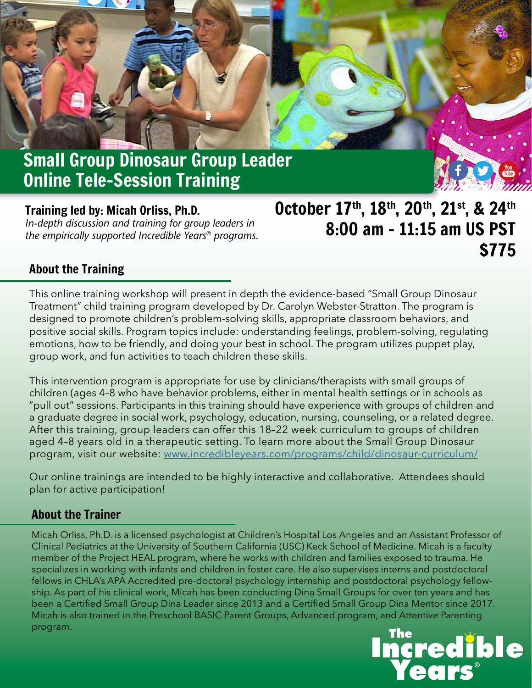# Small Group Dinosaur Group Leader Online Tele-Session Training

Training led by: Micah Orliss, Ph.D. *In-depth discussion and training for group leaders in the empirically supported Incredible Years® programs.*

## October 17th, 18th, 20th, 21st, & 24th 8:00 am – 11:15 am US PST \$775

## About the Training

This online training workshop will present in depth the evidence-based "Small Group Dinosaur Treatment" child training program developed by Dr. Carolyn Webster-Stratton. The program is designed to promote children's problem-solving skills, appropriate classroom behaviors, and positive social skills. Program topics include: understanding feelings, problem-solving, regulating emotions, how to be friendly, and doing your best in school. The program utilizes puppet play, group work, and fun activities to teach children these skills.

This intervention program is appropriate for use by clinicians/therapists with small groups of children (ages 4–8 who have behavior problems, either in mental health settings or in schools as "pull out" sessions. Participants in this training should have experience with groups of children and a graduate degree in social work, psychology, education, nursing, counseling, or a related degree. After this training, group leaders can offer this 18–22 week curriculum to groups of children aged 4–8 years old in a therapeutic setting. To learn more about the Small Group Dinosaur program, visit our website: www.[incredibleyears.com/programs/child/dinosaur-curriculum/](https://www.incredibleyears.com/programs/child/dinosaur-curriculum)

Our online trainings are intended to be highly interactive and collaborative. Attendees should plan for active participation!

#### About the Trainer

Micah Orliss, Ph.D. is a licensed psychologist at Children's Hospital Los Angeles and an Assistant Professor of Clinical Pediatrics at the University of Southern California (USC) Keck School of Medicine. Micah is a faculty member of the Project HEAL program, where he works with children and families exposed to trauma. He specializes in working with infants and children in foster care. He also supervises interns and postdoctoral fellows in CHLA's APA Accredited pre-doctoral psychology internship and postdoctoral psychology fellowship. As part of his clinical work, Micah has been conducting Dina Small Groups for over ten years and has been a Certified Small Group Dina Leader since 2013 and a Certified Small Group Dina Mentor since 2017. Micah is also trained in the Preschool BASIC Parent Groups, Advanced program, and Attentive Parenting program.

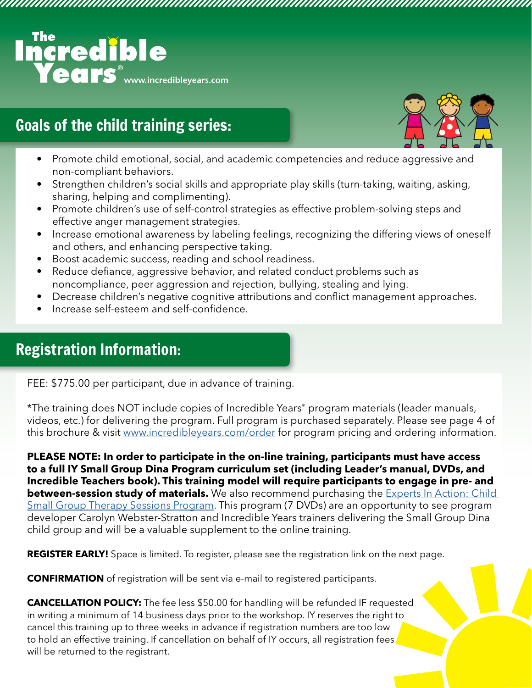

## Goals of the child training series:



• Promote child emotional, social, and academic competencies and reduce aggressive and non-compliant behaviors.

- Strengthen children's social skills and appropriate play skills (turn-taking, waiting, asking, sharing, helping and complimenting).
- Promote children's use of self-control strategies as effective problem-solving steps and effective anger management strategies.
- Increase emotional awareness by labeling feelings, recognizing the differing views of oneself and others, and enhancing perspective taking.
- Boost academic success, reading and school readiness.
- Reduce defiance, aggressive behavior, and related conduct problems such as noncompliance, peer aggression and rejection, bullying, stealing and lying.
- Decrease children's negative cognitive attributions and conflict management approaches.
- Increase self-esteem and self-confidence.

## Registration Information:

FEE: \$775.00 per participant, due in advance of training.

\*The training does NOT include copies of Incredible Years® program materials (leader manuals, videos, etc.) for delivering the program. Full program is purchased separately. Please see page 4 of this brochure & visit [www.incredibleyears.com/order](https://incredibleyears.com/order) for program pricing and ordering information.

**PLEASE NOTE: In order to participate in the on-line training, participants must have access to a full IY Small Group Dina Program curriculum set (including Leader's manual, DVDs, and Incredible Teachers book). This training model will require participants to engage in pre- and between-session study of materials.** We also recommend purchasing the **Experts In Action: Child** [Small Group Therapy Sessions Program](https://www.incredibleyears.com/programs/child/experts-in-action/). This program (7 DVDs) are an opportunity to see program developer Carolyn Webster-Stratton and Incredible Years trainers delivering the Small Group Dina child group and will be a valuable supplement to the online training.

**REGISTER EARLY!** Space is limited. To register, please see the registration link on the next page.

**CONFIRMATION** of registration will be sent via e-mail to registered participants.

**CANCELLATION POLICY:** The fee less \$50.00 for handling will be refunded IF requested in writing a minimum of 14 business days prior to the workshop. IY reserves the right to cancel this training up to three weeks in advance if registration numbers are too low to hold an effective training. If cancellation on behalf of IY occurs, all registration fees will be returned to the registrant.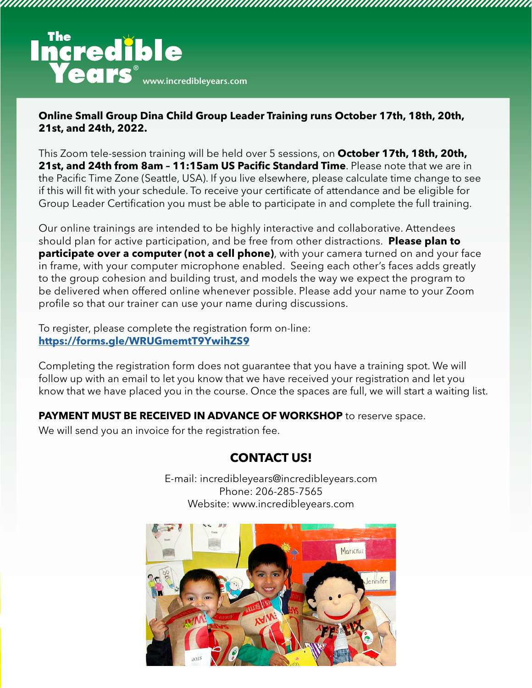

#### **Online Small Group Dina Child Group Leader Training runs October 17th, 18th, 20th, 21st, and 24th, 2022.**

This Zoom tele-session training will be held over 5 sessions, on **October 17th, 18th, 20th, 21st, and 24th from 8am – 11:15am US Pacific Standard Time**. Please note that we are in the Pacific Time Zone (Seattle, USA). If you live elsewhere, please calculate time change to see if this will fit with your schedule. To receive your certificate of attendance and be eligible for Group Leader Certification you must be able to participate in and complete the full training.

Our online trainings are intended to be highly interactive and collaborative. Attendees should plan for active participation, and be free from other distractions. **Please plan to participate over a computer (not a cell phone)**, with your camera turned on and your face in frame, with your computer microphone enabled. Seeing each other's faces adds greatly to the group cohesion and building trust, and models the way we expect the program to be delivered when offered online whenever possible. Please add your name to your Zoom profile so that our trainer can use your name during discussions.

To register, please complete the registration form on-line: **https://forms.gle/WRUGmemtT9YwihZS9**

Completing the registration form does not guarantee that you have a training spot. We will follow up with an email to let you know that we have received your registration and let you know that we have placed you in the course. Once the spaces are full, we will start a waiting list.

**PAYMENT MUST BE RECEIVED IN ADVANCE OF WORKSHOP** to reserve space.

We will send you an invoice for the registration fee.

## **CONTACT US!**

E-mail: incredibleyears@incredibleyears.com Phone: 206-285-7565 Website: www.incredibleyears.com